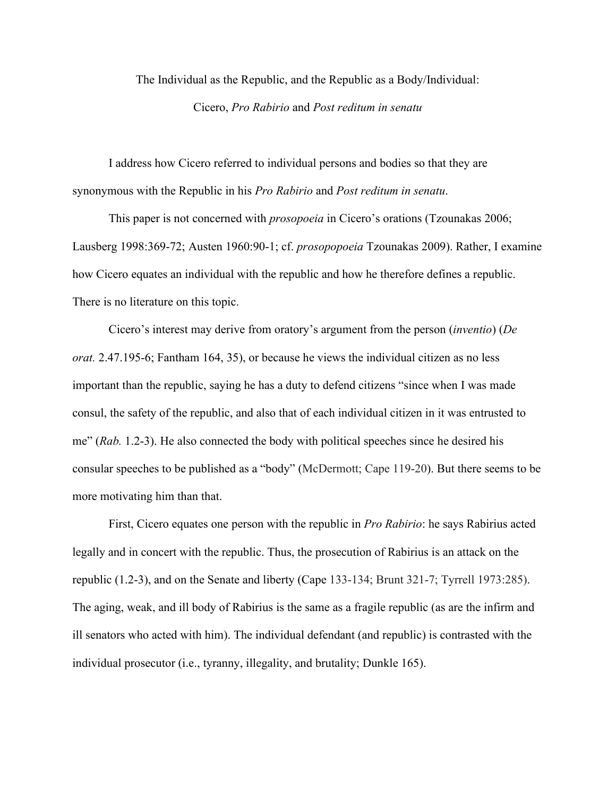The Individual as the Republic, and the Republic as a Body/Individual:

Cicero, *Pro Rabirio* and *Post reditum in senatu*

I address how Cicero referred to individual persons and bodies so that they are synonymous with the Republic in his *Pro Rabirio* and *Post reditum in senatu*.

This paper is not concerned with *prosopoeia* in Cicero's orations (Tzounakas 2006; Lausberg 1998:369-72; Austen 1960:90-1; cf. *prosopopoeia* Tzounakas 2009). Rather, I examine how Cicero equates an individual with the republic and how he therefore defines a republic. There is no literature on this topic.

Cicero's interest may derive from oratory's argument from the person (*inventio*) (*De orat.* 2.47.195-6; Fantham 164, 35), or because he views the individual citizen as no less important than the republic, saying he has a duty to defend citizens "since when I was made consul, the safety of the republic, and also that of each individual citizen in it was entrusted to me" (*Rab.* 1.2-3). He also connected the body with political speeches since he desired his consular speeches to be published as a "body" (McDermott; Cape 119-20). But there seems to be more motivating him than that.

First, Cicero equates one person with the republic in *Pro Rabirio*: he says Rabirius acted legally and in concert with the republic. Thus, the prosecution of Rabirius is an attack on the republic (1.2-3), and on the Senate and liberty (Cape 133-134; Brunt 321-7; Tyrrell 1973:285). The aging, weak, and ill body of Rabirius is the same as a fragile republic (as are the infirm and ill senators who acted with him). The individual defendant (and republic) is contrasted with the individual prosecutor (i.e., tyranny, illegality, and brutality; Dunkle 165).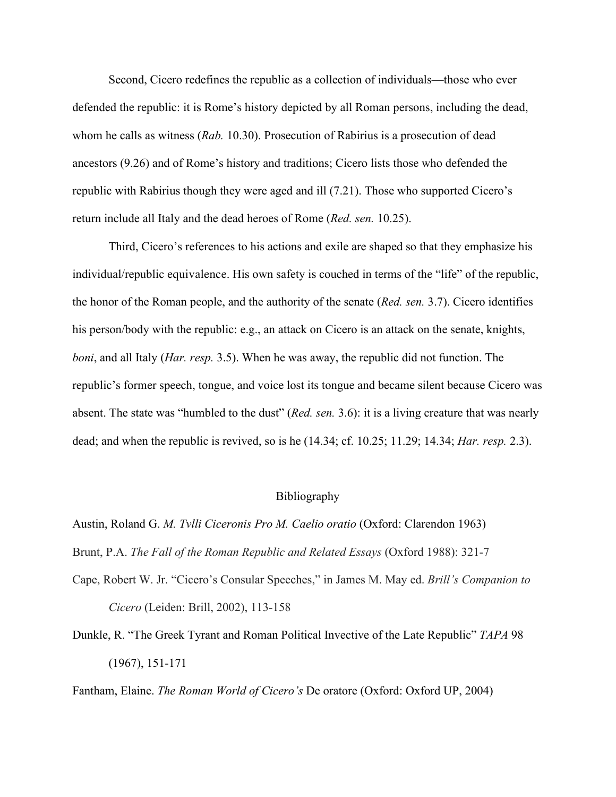Second, Cicero redefines the republic as a collection of individuals—those who ever defended the republic: it is Rome's history depicted by all Roman persons, including the dead, whom he calls as witness (*Rab.* 10.30). Prosecution of Rabirius is a prosecution of dead ancestors (9.26) and of Rome's history and traditions; Cicero lists those who defended the republic with Rabirius though they were aged and ill (7.21). Those who supported Cicero's return include all Italy and the dead heroes of Rome (*Red. sen.* 10.25).

Third, Cicero's references to his actions and exile are shaped so that they emphasize his individual/republic equivalence. His own safety is couched in terms of the "life" of the republic, the honor of the Roman people, and the authority of the senate (*Red. sen.* 3.7). Cicero identifies his person/body with the republic: e.g., an attack on Cicero is an attack on the senate, knights, *boni*, and all Italy (*Har. resp.* 3.5). When he was away, the republic did not function. The republic's former speech, tongue, and voice lost its tongue and became silent because Cicero was absent. The state was "humbled to the dust" (*Red. sen.* 3.6): it is a living creature that was nearly dead; and when the republic is revived, so is he (14.34; cf. 10.25; 11.29; 14.34; *Har. resp.* 2.3).

## Bibliography

Austin, Roland G. *M. Tvlli Ciceronis Pro M. Caelio oratio* (Oxford: Clarendon 1963) Brunt, P.A. *The Fall of the Roman Republic and Related Essays* (Oxford 1988): 321-7

- Cape, Robert W. Jr. "Cicero's Consular Speeches," in James M. May ed. *Brill's Companion to Cicero* (Leiden: Brill, 2002), 113-158
- Dunkle, R. "The Greek Tyrant and Roman Political Invective of the Late Republic" *TAPA* 98 (1967), 151-171

Fantham, Elaine. *The Roman World of Cicero's* De oratore (Oxford: Oxford UP, 2004)